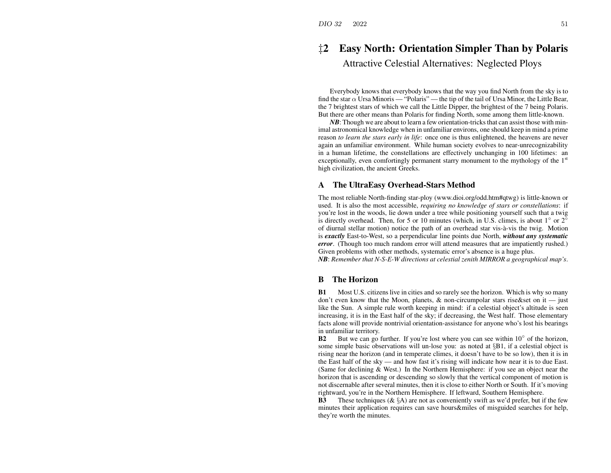# ‡**2 Easy North: Orientation Simpler Than by Polaris** Attractive Celestial Alternatives: Neglected Ploys

Everybody knows that everybody knows that the way you find North from the sky is to find the star  $\alpha$  Ursa Minoris — "Polaris" — the tip of the tail of Ursa Minor, the Little Bear, the 7 brightest stars of which we call the Little Dipper, the brightest of the 7 being Polaris. But there are other means than Polaris for finding North, some among them little-known.

 $N\!B$ : Though we are about to learn a few orientation-tricks that can assist those with minimal astronomical knowledge when in unfamiliar environs, one should keep in mind <sup>a</sup> prime reason *to learn the stars early in life*: once one is thus enlightened, the heavens are never again an unfamiliar environment. While human society evolves to near-unrecognizability in <sup>a</sup> human lifetime, the constellations are effectively unchanging in 100 lifetimes: an exceptionally, even comfortingly permanent starry monument to the mythology of the  $1<sup>st</sup>$ high civilization, the ancient Greeks.

### **A The UltraEasy Overhead-Stars Method**

The most reliable North-finding star-ploy (www.dioi.org/odd.htm#qtwg) is little-known or used. It is also the most accessible, *requiring no knowledge of stars or constellations*: if you're lost in the woods, lie down under <sup>a</sup> tree while positioning yourself such that <sup>a</sup> twig is directly overhead. Then, for 5 or 10 minutes (which, in U.S. climes, is about 1 $\degree$  or 2 $\degree$ of diurnal stellar motion) notice the path of an overhead star vis-à-vis the twig. Motion is *exactly* East-to-West, so <sup>a</sup> perpendicular line points due North, *without any systematic error*. (Though too much random error will attend measures that are impatiently rushed.) Given problems with other methods, systematic error's absence is <sup>a</sup> huge plus.

*NB*: *Remember that N-S-E-W directions at celestial zenith MIRROR <sup>a</sup> geographical map's*.

#### **BThe Horizon**

**B1** Most U.S. citizens live in cities and so rarely see the horizon. Which is why so many don't even know that the Moon, planets, & non-circumpolar stars rise&set on it — just like the Sun. A simple rule worth keeping in mind: if <sup>a</sup> celestial object's altitude is seen increasing, it is in the East half of the sky; if decreasing, the West half. Those elementary facts alone will provide nontrivial orientation-assistance for anyone who's lost his bearings in unfamiliar territory.

**B2**But we can go further. If you're lost where you can see within  $10°$  of the horizon, some simple basic observations will un-lose you: as noted at §B1, if <sup>a</sup> celestial object is rising near the horizon (and in temperate climes, it doesn't have to be so low), then it is in the East half of the sky — and how fast it's rising will indicate how near it is to due East. (Same for declining & West.) In the Northern Hemisphere: if you see an object near the horizon that is ascending or descending so slowly that the vertical componen<sup>t</sup> of motion is not discernable after several minutes, then it is close to either North or South. If it's moving rightward, you're in the Northern Hemisphere. If leftward, Southern Hemisphere.

**B3**These techniques ( $\&$  §A) are not as conveniently swift as we'd prefer, but if the few minutes their application requires can save hours&miles of misguided searches for help, they're worth the minutes.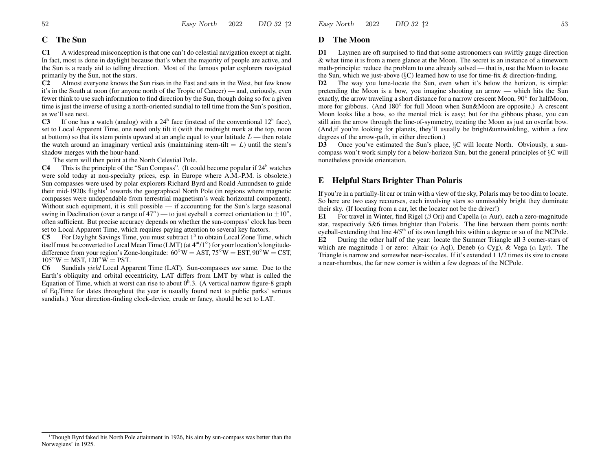#### **CThe Sun**

**C1** A widespread misconception is that one can't do celestial navigation excep<sup>t</sup> at night. In fact, most is done in daylight because that's when the majority of people are active, and the Sun is <sup>a</sup> ready aid to telling direction. Most of the famous polar explorers navigated primarily by the Sun, not the stars.

**C2** Almost everyone knows the Sun rises in the East and sets in the West, but few know it's in the South at noon (for anyone north of the Tropic of Cancer) — and, curiously, even fewer think to use such information to find direction by the Sun, though doing so for <sup>a</sup> given time is just the inverse of using <sup>a</sup> north-oriented sundial to tell time from the Sun's position, as we'll see next.

**C3**If one has a watch (analog) with a  $24<sup>h</sup>$  face (instead of the conventional  $12<sup>h</sup>$  face), set to Local Apparent Time, one need only tilt it (with the midnight mark at the top, noon at bottom) so that its stem points upward at an angle equal to your latitude  $L$  — then rotate the watch around an imaginary vertical axis (maintaining stem-tilt  $= L$ ) until the stem's shadow merges with the hour-hand.

The stem will then point at the North Celestial Pole.

**C4**This is the principle of the "Sun Compass". (It could become popular if  $24<sup>h</sup>$  watches were sold today at non-specialty prices, esp. in Europe where A.M.-P.M. is obsolete.) Sun compasses were used by polar explorers Richard Byrd and Roald Amundsen to guide their mid-1920s flights<sup>1</sup> towards the geographical North Pole (in regions where magnetic compasses were undependable from terrestrial magnetism's weak horizontal component). Without such equipment, it is still possible — if accounting for the Sun's large seasonal swing in Declination (over a range of  $47°$ ) — to just eyeball a correct orientation to  $\pm 10°$ , often sufficient. But precise accuracy depends on whether the sun-compass' clock has been set to Local Apparent Time, which requires paying attention to several key factors.

**C5**For Daylight Savings Time, you must subtract  $1<sup>h</sup>$  to obtain Local Zone Time, which itself must be converted to Local Mean Time (LMT) (at  $4<sup>m</sup>/1°$ ) for your location's longitudedifference from your region's Zone-longitude:  $60°W = AST$ ,  $75°W = EST$ ,  $90°W = SST$ ,  $105^{\circ}\rm{W} = \rm{MST},\,120^{\circ}\rm{W} = \rm{PST}.$ 

**C6** Sundials *yield* Local Apparent Time (LAT). Sun-compasses *use* same. Due to the Earth's obliquity and orbital eccentricity, LAT differs from LMT by what is called the Equation of Time, which at worst can rise to about  $0<sup>h</sup>$ .3. (A vertical narrow figure-8 graph of Eq.Time for dates throughout the year is usually found next to public parks' serious sundials.) Your direction-finding clock-device, crude or fancy, should be set to LAT.

#### **DThe Moon**

**D1** Laymen are oft surprised to find that some astronomers can swiftly gauge direction & what time it is from <sup>a</sup> mere glance at the Moon. The secret is an instance of <sup>a</sup> timeworn math-principle: reduce the problem to one already solved — that is, use the Moon to locate the Sun, which we just-above ( $\S$ C) learned how to use for time-fix & direction-finding.

**D2** The way you lune-locate the Sun, even when it's below the horizon, is simple: pretending the Moon is <sup>a</sup> bow, you imagine shooting an arrow — which hits the Sun exactly, the arrow traveling <sup>a</sup> short distance for <sup>a</sup> narrow crescent Moon, 90◦ for halfMoon, more for gibbous. (And 180◦ for full Moon when Sun&Moon are opposite.) A crescent Moon looks like <sup>a</sup> bow, so the mental trick is easy; but for the gibbous phase, you can still aim the arrow through the line-of-symmetry, treating the Moon as just an overfat bow. (And,if you're looking for planets, they'll usually be bright&untwinkling, within <sup>a</sup> few degrees of the arrow-path, in either direction.)

**D3** Once you've estimated the Sun's place, §C will locate North. Obviously, <sup>a</sup> suncompass won't work simply for <sup>a</sup> below-horizon Sun, but the general principles of §C will nonetheless provide orientation.

## **E Helpful Stars Brighter Than Polaris**

If you're in <sup>a</sup> partially-lit car or train with <sup>a</sup> view of the sky, Polaris may be too dim to locate. So here are two easy recourses, each involving stars so unmissably bright they dominate their sky. (If locating from <sup>a</sup> car, let the locater not be the driver!)

**E1**For travel in Winter, find Rigel ( $\beta$  Ori) and Capella ( $\alpha$  Aur), each a zero-magnitude star, respectively 5&6 times brighter than Polaris. The line between them points north: eyeball-extending that line  $4/5<sup>th</sup>$  of its own length hits within a degree or so of the NCPole.

**E2** During the other half of the year: locate the Summer Triangle all 3 corner-stars of which are magnitude 1 or zero: Altair ( $\alpha$  Aql), Deneb ( $\alpha$  Cyg), & Vega ( $\alpha$  Lyr). The Triangle is narrow and somewhat near-isoceles. If it's extended 1 1/2 times its size to create a near-rhombus, the far new corner is within <sup>a</sup> few degrees of the NCPole.

<sup>&</sup>lt;sup>1</sup>Though Byrd faked his North Pole attainment in 1926, his aim by sun-compass was better than the Norwegians' in 1925.